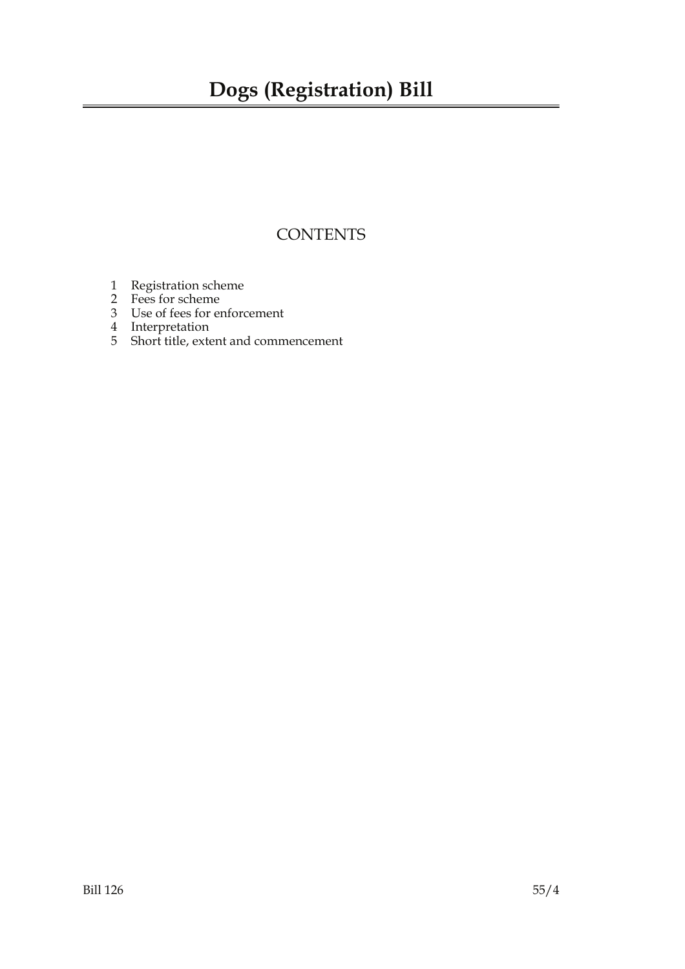### **CONTENTS**

- 1 Registration scheme
- 2 Fees for scheme
- 3 Use of fees for enforcement
- 4 Interpretation
- 5 Short title, extent and commencement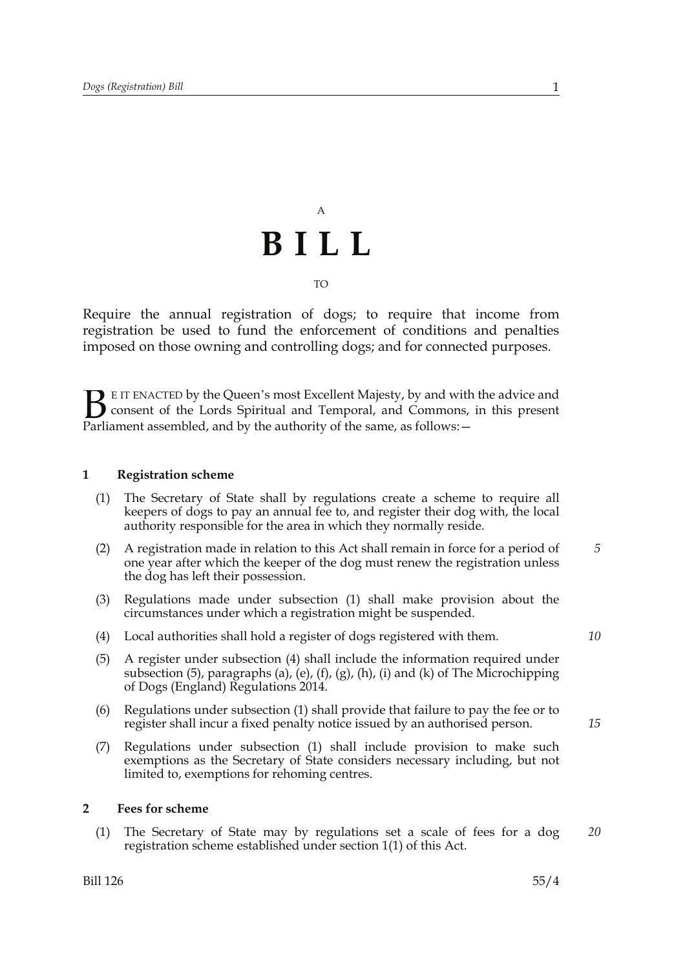## A **BILL** TO

Require the annual registration of dogs; to require that income from registration be used to fund the enforcement of conditions and penalties imposed on those owning and controlling dogs; and for connected purposes.

E IT ENACTED by the Queen's most Excellent Majesty, by and with the advice and consent of the Lords Spiritual and Temporal, and Commons, in this present Parliament assembled, and by the authority of the same, as follows:  $B<sub>parti</sub>$ 

#### **1 Registration scheme**

- (1) The Secretary of State shall by regulations create a scheme to require all keepers of dogs to pay an annual fee to, and register their dog with, the local authority responsible for the area in which they normally reside.
- (2) A registration made in relation to this Act shall remain in force for a period of one year after which the keeper of the dog must renew the registration unless the dog has left their possession.
- (3) Regulations made under subsection (1) shall make provision about the circumstances under which a registration might be suspended.
- (4) Local authorities shall hold a register of dogs registered with them.
- (5) A register under subsection (4) shall include the information required under subsection (5), paragraphs (a), (e), (f), (g), (h), (i) and (k) of The Microchipping of Dogs (England) Regulations 2014.
- (6) Regulations under subsection (1) shall provide that failure to pay the fee or to register shall incur a fixed penalty notice issued by an authorised person.
- (7) Regulations under subsection (1) shall include provision to make such exemptions as the Secretary of State considers necessary including, but not limited to, exemptions for rehoming centres.

#### **2 Fees for scheme**

(1) The Secretary of State may by regulations set a scale of fees for a dog registration scheme established under section 1(1) of this Act.

*15*

*5*

*20*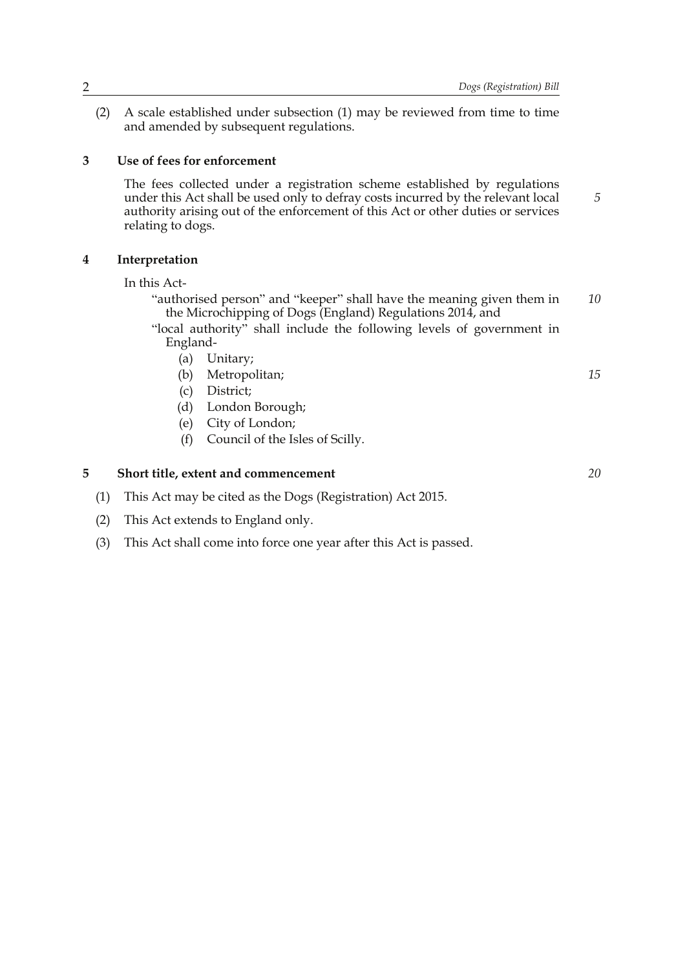*5*

*15*

*20*

(2) A scale established under subsection (1) may be reviewed from time to time and amended by subsequent regulations.

#### **3 Use of fees for enforcement**

The fees collected under a registration scheme established by regulations under this Act shall be used only to defray costs incurred by the relevant local authority arising out of the enforcement of this Act or other duties or services relating to dogs.

#### **4 Interpretation**

In this Act-

- "authorised person" and "keeper" shall have the meaning given them in the Microchipping of Dogs (England) Regulations 2014, and *10*
- "local authority" shall include the following levels of government in England-
	- (a) Unitary;
	- (b) Metropolitan;
	- (c) District;
	- (d) London Borough;
	- (e) City of London;
	- (f) Council of the Isles of Scilly.

### **5 Short title, extent and commencement**

- (1) This Act may be cited as the Dogs (Registration) Act 2015.
- (2) This Act extends to England only.
- (3) This Act shall come into force one year after this Act is passed.